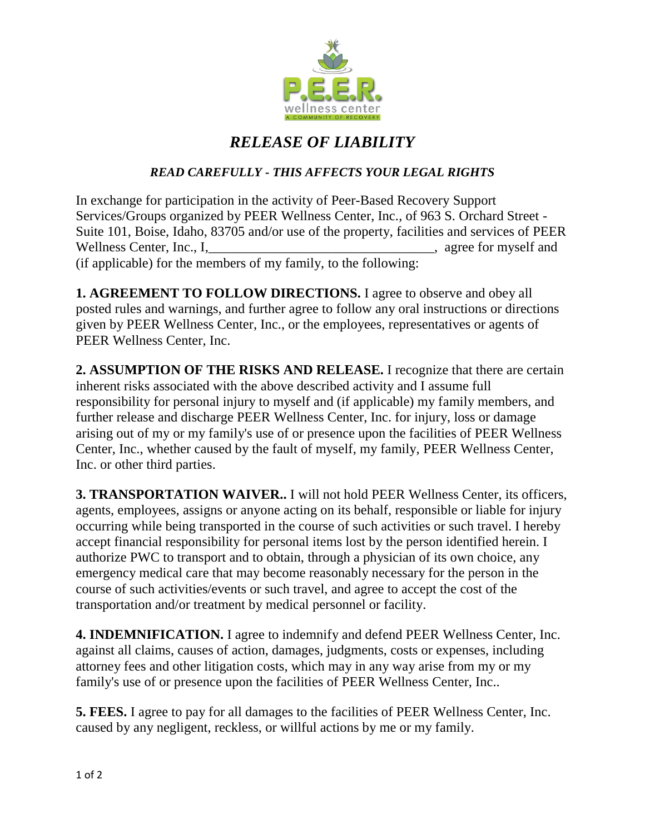

## *RELEASE OF LIABILITY*

## *READ CAREFULLY - THIS AFFECTS YOUR LEGAL RIGHTS*

In exchange for participation in the activity of Peer-Based Recovery Support Services/Groups organized by PEER Wellness Center, Inc., of 963 S. Orchard Street - Suite 101, Boise, Idaho, 83705 and/or use of the property, facilities and services of PEER Wellness Center, Inc., I, well are seen to myself and series of myself and series of myself and series of myself and series of  $\mathbb{R}^n$ (if applicable) for the members of my family, to the following:

**1. AGREEMENT TO FOLLOW DIRECTIONS.** I agree to observe and obey all posted rules and warnings, and further agree to follow any oral instructions or directions given by PEER Wellness Center, Inc., or the employees, representatives or agents of PEER Wellness Center, Inc.

**2. ASSUMPTION OF THE RISKS AND RELEASE.** I recognize that there are certain inherent risks associated with the above described activity and I assume full responsibility for personal injury to myself and (if applicable) my family members, and further release and discharge PEER Wellness Center, Inc. for injury, loss or damage arising out of my or my family's use of or presence upon the facilities of PEER Wellness Center, Inc., whether caused by the fault of myself, my family, PEER Wellness Center, Inc. or other third parties.

**3. TRANSPORTATION WAIVER..** I will not hold PEER Wellness Center, its officers, agents, employees, assigns or anyone acting on its behalf, responsible or liable for injury occurring while being transported in the course of such activities or such travel. I hereby accept financial responsibility for personal items lost by the person identified herein. I authorize PWC to transport and to obtain, through a physician of its own choice, any emergency medical care that may become reasonably necessary for the person in the course of such activities/events or such travel, and agree to accept the cost of the transportation and/or treatment by medical personnel or facility.

**4. INDEMNIFICATION.** I agree to indemnify and defend PEER Wellness Center, Inc. against all claims, causes of action, damages, judgments, costs or expenses, including attorney fees and other litigation costs, which may in any way arise from my or my family's use of or presence upon the facilities of PEER Wellness Center, Inc..

**5. FEES.** I agree to pay for all damages to the facilities of PEER Wellness Center, Inc. caused by any negligent, reckless, or willful actions by me or my family.